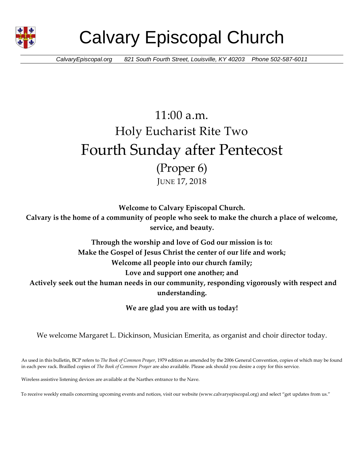

# Calvary Episcopal Church

*CalvaryEpiscopal.org 821 South Fourth Street, Louisville, KY 40203 Phone 502-587-6011*

## $11:00$  a.m. Holy Eucharist Rite Two Fourth Sunday after Pentecost (Proper 6)

JUNE 17, 2018

**Welcome to Calvary Episcopal Church. Calvary is the home of a community of people who seek to make the church a place of welcome, service, and beauty.**

**Through the worship and love of God our mission is to: Make the Gospel of Jesus Christ the center of our life and work; Welcome all people into our church family; Love and support one another; and Actively seek out the human needs in our community, responding vigorously with respect and understanding.**

**We are glad you are with us today!**

We welcome Margaret L. Dickinson, Musician Emerita, as organist and choir director today.

As used in this bulletin, BCP refers to *The Book of Common Prayer*, 1979 edition as amended by the 2006 General Convention, copies of which may be found in each pew rack. Brailled copies of *The Book of Common Prayer* are also available. Please ask should you desire a copy for this service.

Wireless assistive listening devices are available at the Narthex entrance to the Nave.

To receive weekly emails concerning upcoming events and notices, visit our website (www.calvaryepiscopal.org) and select "get updates from us."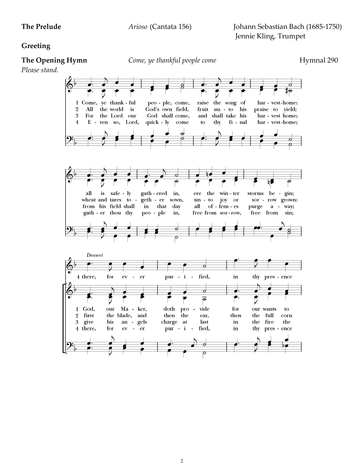**The Prelude** *Arioso* (Cantata 156) Johann Sebastian Bach (1685-1750) Jennie Kling, Trumpet

### **Greeting**

**The Opening Hymn** *Come, ye thankful people come Hymnal 290* 

*Please stand.*

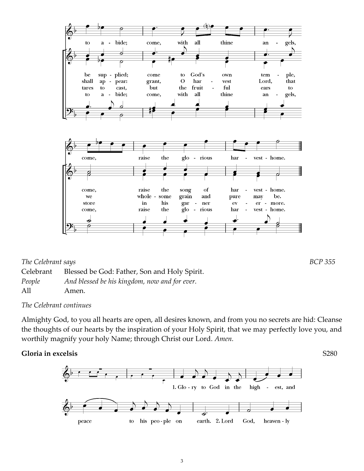

### *The Celebrant says BCP 355*

Celebrant Blessed be God: Father, Son and Holy Spirit. *People And blessed be his kingdom, now and for ever.* All Amen.

*The Celebrant continues*

Almighty God, to you all hearts are open, all desires known, and from you no secrets are hid: Cleanse the thoughts of our hearts by the inspiration of your Holy Spirit, that we may perfectly love you, and worthily magnify your holy Name; through Christ our Lord. *Amen.*

### **Gloria in excelsis** S280

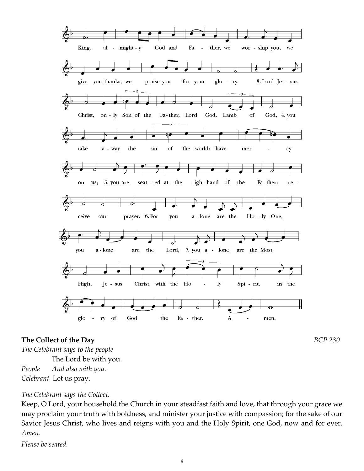

### **The Collect of the Day** *BCP 230*

*The Celebrant says to the people*

 The Lord be with you. *People And also with you. Celebrant* Let us pray.

### *The Celebrant says the Collect.*

Keep, O Lord, your household the Church in your steadfast faith and love, that through your grace we may proclaim your truth with boldness, and minister your justice with compassion; for the sake of our Savior Jesus Christ, who lives and reigns with you and the Holy Spirit, one God, now and for ever. *Amen*.

*Please be seated.*

4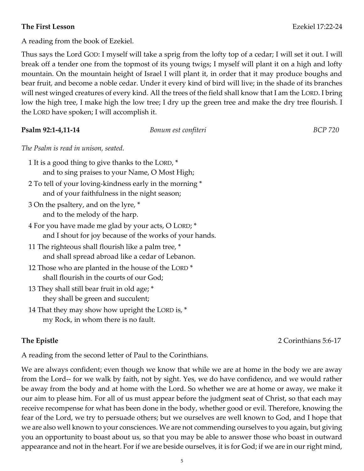### **The First Lesson** Ezekiel 17:22-24

Thus says the Lord GOD: I myself will take a sprig from the lofty top of a cedar; I will set it out. I will break off a tender one from the topmost of its young twigs; I myself will plant it on a high and lofty mountain. On the mountain height of Israel I will plant it, in order that it may produce boughs and bear fruit, and become a noble cedar. Under it every kind of bird will live; in the shade of its branches will nest winged creatures of every kind. All the trees of the field shall know that I am the LORD. I bring low the high tree, I make high the low tree; I dry up the green tree and make the dry tree flourish. I the LORD have spoken; I will accomplish it.

### **Psalm 92:1-4,11-14** *Bonum est confiteri BCP 720*

*The Psalm is read in unison, seated.*

- 1 It is a good thing to give thanks to the LORD, \* and to sing praises to your Name, O Most High;
- 2 To tell of your loving-kindness early in the morning \* and of your faithfulness in the night season;
- 3 On the psaltery, and on the lyre, \* and to the melody of the harp.
- 4 For you have made me glad by your acts, O LORD; \* and I shout for joy because of the works of your hands.
- 11 The righteous shall flourish like a palm tree, \* and shall spread abroad like a cedar of Lebanon.
- 12 Those who are planted in the house of the LORD \* shall flourish in the courts of our God;
- 13 They shall still bear fruit in old age; \* they shall be green and succulent;
- 14 That they may show how upright the LORD is, \* my Rock, in whom there is no fault.

**The Epistle** 2 Corinthians 5:6-17

A reading from the second letter of Paul to the Corinthians.

We are always confident; even though we know that while we are at home in the body we are away from the Lord-- for we walk by faith, not by sight. Yes, we do have confidence, and we would rather be away from the body and at home with the Lord. So whether we are at home or away, we make it our aim to please him. For all of us must appear before the judgment seat of Christ, so that each may receive recompense for what has been done in the body, whether good or evil. Therefore, knowing the fear of the Lord, we try to persuade others; but we ourselves are well known to God, and I hope that we are also well known to your consciences. We are not commending ourselves to you again, but giving you an opportunity to boast about us, so that you may be able to answer those who boast in outward appearance and not in the heart. For if we are beside ourselves, it is for God; if we are in our right mind,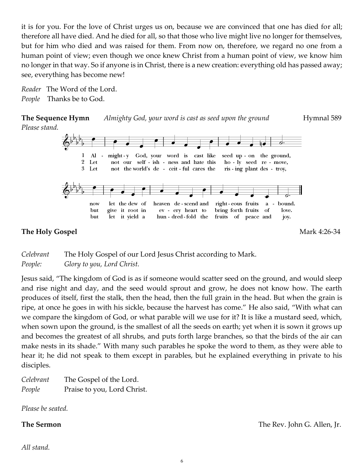it is for you. For the love of Christ urges us on, because we are convinced that one has died for all; therefore all have died. And he died for all, so that those who live might live no longer for themselves, but for him who died and was raised for them. From now on, therefore, we regard no one from a human point of view; even though we once knew Christ from a human point of view, we know him no longer in that way. So if anyone is in Christ, there is a new creation: everything old has passed away; see, everything has become new!

*Reader* The Word of the Lord. *People* Thanks be to God.

**The Sequence Hymn** *Almighty God, your word is cast as seed upon the ground* Hymnal 589







### **The Holy Gospel** Mark 4:26-34

*Celebrant* The Holy Gospel of our Lord Jesus Christ according to Mark. *People: Glory to you, Lord Christ.*

Jesus said, "The kingdom of God is as if someone would scatter seed on the ground, and would sleep and rise night and day, and the seed would sprout and grow, he does not know how. The earth produces of itself, first the stalk, then the head, then the full grain in the head. But when the grain is ripe, at once he goes in with his sickle, because the harvest has come." He also said, "With what can we compare the kingdom of God, or what parable will we use for it? It is like a mustard seed, which, when sown upon the ground, is the smallest of all the seeds on earth; yet when it is sown it grows up and becomes the greatest of all shrubs, and puts forth large branches, so that the birds of the air can make nests in its shade." With many such parables he spoke the word to them, as they were able to hear it; he did not speak to them except in parables, but he explained everything in private to his disciples.

| Celebrant | The Gospel of the Lord.     |
|-----------|-----------------------------|
| People    | Praise to you, Lord Christ. |

*Please be seated.*

*All stand.*

**The Sermon** The Rev. John G. Allen, Jr.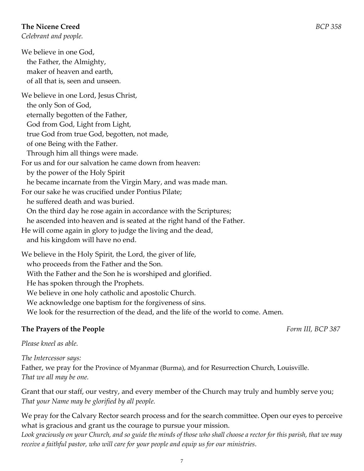### **The Nicene Creed** *BCP 358*

*Celebrant and people.*

| We believe in one God,                                                 |  |  |
|------------------------------------------------------------------------|--|--|
| the Father, the Almighty,                                              |  |  |
| maker of heaven and earth,                                             |  |  |
| of all that is, seen and unseen.                                       |  |  |
| We believe in one Lord, Jesus Christ,                                  |  |  |
| the only Son of God,                                                   |  |  |
| eternally begotten of the Father,                                      |  |  |
| God from God, Light from Light,                                        |  |  |
| true God from true God, begotten, not made,                            |  |  |
| of one Being with the Father.                                          |  |  |
| Through him all things were made.                                      |  |  |
| For us and for our salvation he came down from heaven:                 |  |  |
| by the power of the Holy Spirit                                        |  |  |
| he became incarnate from the Virgin Mary, and was made man.            |  |  |
| For our sake he was crucified under Pontius Pilate;                    |  |  |
| he suffered death and was buried.                                      |  |  |
| On the third day he rose again in accordance with the Scriptures;      |  |  |
| he ascended into heaven and is seated at the right hand of the Father. |  |  |
| He will come again in glory to judge the living and the dead,          |  |  |
| and his kingdom will have no end.                                      |  |  |
| We believe in the Holy Spirit, the Lord, the giver of life,            |  |  |
| who proceeds from the Father and the Son.                              |  |  |
| With the Father and the Son he is worshiped and glorified.             |  |  |
| He has spoken through the Prophets.                                    |  |  |

We believe in one holy catholic and apostolic Church.

We acknowledge one baptism for the forgiveness of sins.

We look for the resurrection of the dead, and the life of the world to come. Amen.

### **The Prayers of the People** *Form III, BCP 387*

*Please kneel as able.*

*The Intercessor says:*

Father, we pray for the Province of Myanmar (Burma), and for Resurrection Church, Louisville. *That we all may be one.*

Grant that our staff, our vestry, and every member of the Church may truly and humbly serve you; *That your Name may be glorified by all people.*

We pray for the Calvary Rector search process and for the search committee. Open our eyes to perceive what is gracious and grant us the courage to pursue your mission.

*Look graciously on your Church, and so guide the minds of those who shall choose a rector for this parish, that we may receive a faithful pastor, who will care for your people and equip us for our ministries*.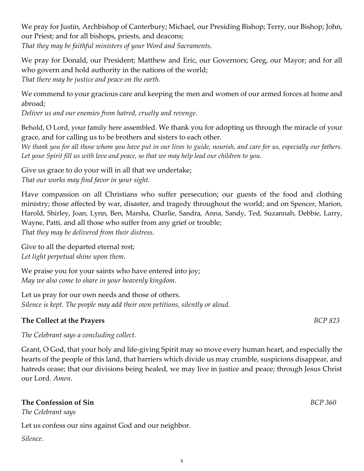We pray for Justin, Archbishop of Canterbury; Michael, our Presiding Bishop; Terry, our Bishop; John, our Priest; and for all bishops, priests, and deacons; *That they may be faithful ministers of your Word and Sacraments.*

We pray for Donald, our President; Matthew and Eric, our Governors; Greg, our Mayor; and for all who govern and hold authority in the nations of the world; *That there may be justice and peace on the earth.*

We commend to your gracious care and keeping the men and women of our armed forces at home and abroad;

*Deliver us and our enemies from hatred, cruelty and revenge.* 

Behold, O Lord, your family here assembled. We thank you for adopting us through the miracle of your grace, and for calling us to be brothers and sisters to each other.

*We thank you for all those whom you have put in our lives to guide, nourish, and care for us, especially our fathers. Let your Spirit fill us with love and peace, so that we may help lead our children to you.*

Give us grace to do your will in all that we undertake; *That our works may find favor in your sight.*

Have compassion on all Christians who suffer persecution; our guests of the food and clothing ministry; those affected by war, disaster, and tragedy throughout the world; and on Spencer, Marion, Harold, Shirley, Joan, Lynn, Ben, Marsha, Charlie, Sandra, Anna, Sandy, Ted, Suzannah, Debbie, Larry, Wayne, Patti, and all those who suffer from any grief or trouble; *That they may be delivered from their distress.*

Give to all the departed eternal rest; *Let light perpetual shine upon them.*

We praise you for your saints who have entered into joy; *May we also come to share in your heavenly kingdom.*

Let us pray for our own needs and those of others. *Silence is kept. The people may add their own petitions, silently or aloud.*

### **The Collect at the Prayers** *BCP 823*

*The Celebrant says a concluding collect.*

Grant, O God, that your holy and life-giving Spirit may so move every human heart, and especially the hearts of the people of this land, that barriers which divide us may crumble, suspicions disappear, and hatreds cease; that our divisions being healed, we may live in justice and peace; through Jesus Christ our Lord. *Amen.*

### **The Confession of Sin** *BCP 360*

*The Celebrant says*

Let us confess our sins against God and our neighbor.

*Silence.*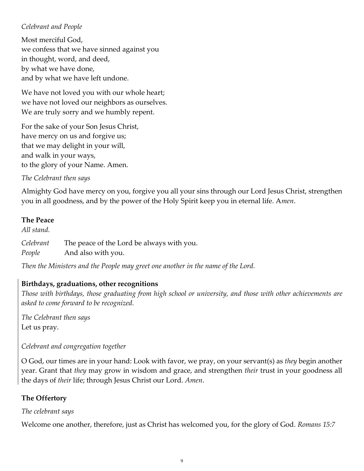### *Celebrant and People*

Most merciful God, we confess that we have sinned against you in thought, word, and deed, by what we have done, and by what we have left undone.

We have not loved you with our whole heart; we have not loved our neighbors as ourselves. We are truly sorry and we humbly repent.

For the sake of your Son Jesus Christ, have mercy on us and forgive us; that we may delight in your will, and walk in your ways, to the glory of your Name. Amen.

*The Celebrant then says*

Almighty God have mercy on you, forgive you all your sins through our Lord Jesus Christ, strengthen you in all goodness, and by the power of the Holy Spirit keep you in eternal life. A*men*.

### **The Peace**

*All stand. Celebrant* The peace of the Lord be always with you. *People* And also with you.

*Then the Ministers and the People may greet one another in the name of the Lord.*

### **Birthdays, graduations, other recognitions**

*Those with birthdays, those graduating from high school or university, and those with other achievements are asked to come forward to be recognized.*

*The Celebrant then says* Let us pray.

*Celebrant and congregation together*

O God, our times are in your hand: Look with favor, we pray, on your servant(s) as *they* begin another year. Grant that *they* may grow in wisdom and grace, and strengthen *their* trust in your goodness all the days of *their* life; through Jesus Christ our Lord. *Amen*.

### **The Offertory**

### *The celebrant says*

Welcome one another, therefore, just as Christ has welcomed you, for the glory of God. *Romans 15:7*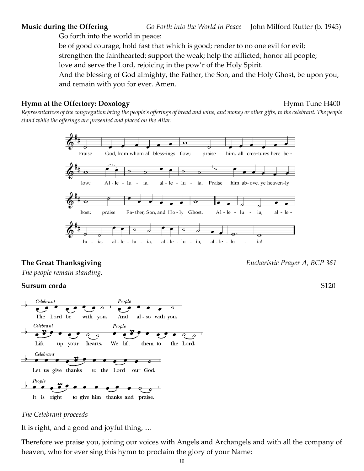**Music during the Offering** *Go Forth into the World in Peace* John Milford Rutter (b. 1945)

Go forth into the world in peace:

be of good courage, hold fast that which is good; render to no one evil for evil; strengthen the fainthearted; support the weak; help the afflicted; honor all people;

love and serve the Lord, rejoicing in the pow'r of the Holy Spirit.

And the blessing of God almighty, the Father, the Son, and the Holy Ghost, be upon you, and remain with you for ever. Amen.

### **Hymn** at the Offertory: Doxology **Example 2008** Hymn Tune H400

*Representatives of the congregation bring the people's offerings of bread and wine, and money or other gifts, to the celebrant. The people stand while the offerings are presented and placed on the Altar.*



*The people remain standing.*

### **Sursum corda** S120



*The Celebrant proceeds*

It is right, and a good and joyful thing, …

Therefore we praise you, joining our voices with Angels and Archangels and with all the company of heaven, who for ever sing this hymn to proclaim the glory of your Name:

**The Great Thanksgiving** *Eucharistic Prayer A, BCP 361*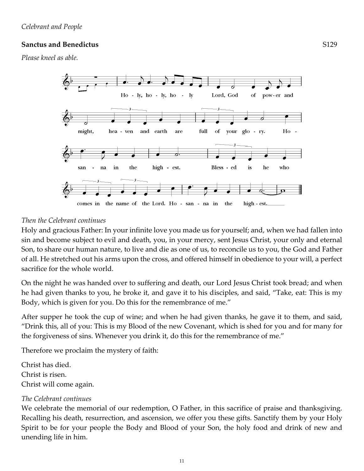### **Sanctus and Benedictus** S129

*Please kneel as able.*



### *Then the Celebrant continues*

Holy and gracious Father: In your infinite love you made us for yourself; and, when we had fallen into sin and become subject to evil and death, you, in your mercy, sent Jesus Christ, your only and eternal Son, to share our human nature, to live and die as one of us, to reconcile us to you, the God and Father of all. He stretched out his arms upon the cross, and offered himself in obedience to your will, a perfect sacrifice for the whole world.

On the night he was handed over to suffering and death, our Lord Jesus Christ took bread; and when he had given thanks to you, he broke it, and gave it to his disciples, and said, "Take, eat: This is my Body, which is given for you. Do this for the remembrance of me."

After supper he took the cup of wine; and when he had given thanks, he gave it to them, and said, "Drink this, all of you: This is my Blood of the new Covenant, which is shed for you and for many for the forgiveness of sins. Whenever you drink it, do this for the remembrance of me."

Therefore we proclaim the mystery of faith:

Christ has died. Christ is risen. Christ will come again.

### *The Celebrant continues*

We celebrate the memorial of our redemption, O Father, in this sacrifice of praise and thanksgiving. Recalling his death, resurrection, and ascension, we offer you these gifts. Sanctify them by your Holy Spirit to be for your people the Body and Blood of your Son, the holy food and drink of new and unending life in him.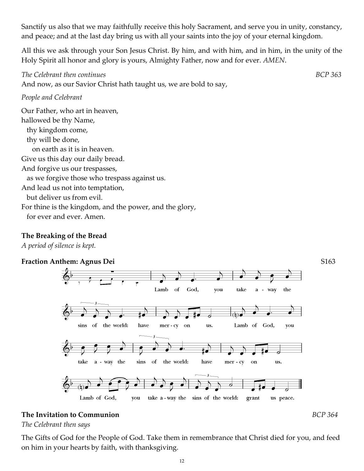Sanctify us also that we may faithfully receive this holy Sacrament, and serve you in unity, constancy, and peace; and at the last day bring us with all your saints into the joy of your eternal kingdom.

All this we ask through your Son Jesus Christ. By him, and with him, and in him, in the unity of the Holy Spirit all honor and glory is yours, Almighty Father, now and for ever. *AMEN*.

### *The Celebrant then continues BCP 363*

And now, as our Savior Christ hath taught us, we are bold to say,

### *People and Celebrant*

Our Father, who art in heaven, hallowed be thy Name, thy kingdom come, thy will be done, on earth as it is in heaven. Give us this day our daily bread. And forgive us our trespasses, as we forgive those who trespass against us. And lead us not into temptation, but deliver us from evil. For thine is the kingdom, and the power, and the glory, for ever and ever. Amen.

### **The Breaking of the Bread**

*A period of silence is kept.*



### **The Invitation to Communion** *BCP 364*

### *The Celebrant then says*

The Gifts of God for the People of God. Take them in remembrance that Christ died for you, and feed on him in your hearts by faith, with thanksgiving.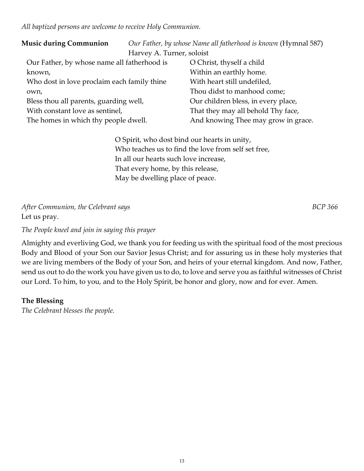*All baptized persons are welcome to receive Holy Communion.*

| <b>Music during Communion</b>               |                           | Our Father, by whose Name all fatherhood is known (Hymnal 587) |
|---------------------------------------------|---------------------------|----------------------------------------------------------------|
|                                             | Harvey A. Turner, soloist |                                                                |
| Our Father, by whose name all fatherhood is |                           | O Christ, thyself a child                                      |
| known,                                      |                           | Within an earthly home.                                        |
| Who dost in love proclaim each family thine |                           | With heart still undefiled,                                    |
| own,                                        |                           | Thou didst to manhood come;                                    |
| Bless thou all parents, guarding well,      |                           | Our children bless, in every place,                            |
| With constant love as sentinel,             |                           | That they may all behold Thy face,                             |
| The homes in which thy people dwell.        |                           | And knowing Thee may grow in grace.                            |
|                                             |                           |                                                                |

O Spirit, who dost bind our hearts in unity, Who teaches us to find the love from self set free, In all our hearts such love increase, That every home, by this release, May be dwelling place of peace.

*After Communion, the Celebrant says BCP 366* Let us pray.

*The People kneel and join in saying this prayer*

Almighty and everliving God, we thank you for feeding us with the spiritual food of the most precious Body and Blood of your Son our Savior Jesus Christ; and for assuring us in these holy mysteries that we are living members of the Body of your Son, and heirs of your eternal kingdom. And now, Father, send us out to do the work you have given us to do, to love and serve you as faithful witnesses of Christ our Lord. To him, to you, and to the Holy Spirit, be honor and glory, now and for ever. Amen.

### **The Blessing**

*The Celebrant blesses the people.*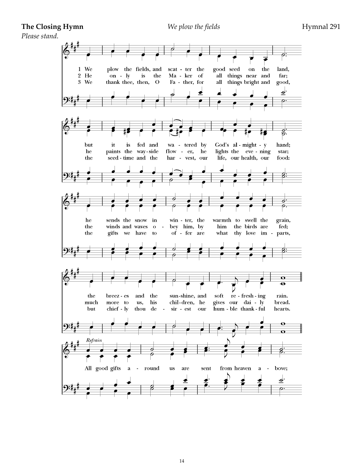### **The Closing Hymn** *We plow the fields* **Hymnal 291**

*Please stand.*

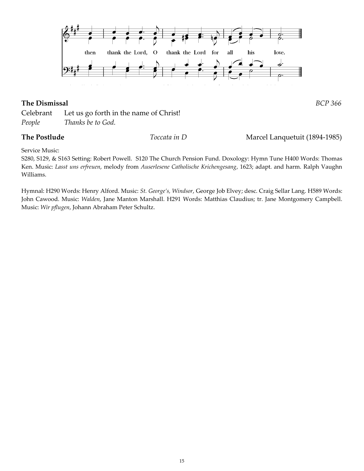

### **The Dismissal** *BCP 366*

|        | Celebrant Let us go forth in the name of Christ! |
|--------|--------------------------------------------------|
| People | Thanks be to God.                                |

**The Postlude** *Toccata in D* Marcel Lanquetuit (1894-1985)

Service Music:

S280, S129, & S163 Setting: Robert Powell. S120 The Church Pension Fund. Doxology: Hymn Tune H400 Words: Thomas Ken. Music: *Lasst uns erfreuen*, melody from *Auserlesene Catholische Krichengesang*, 1623; adapt. and harm. Ralph Vaughn Williams.

Hymnal: H290 Words: Henry Alford. Music: *St. George's, Windsor*, George Job Elvey; desc. Craig Sellar Lang. H589 Words: John Cawood. Music: *Walden*, Jane Manton Marshall. H291 Words: Matthias Claudius; tr. Jane Montgomery Campbell. Music: *Wir pflugen*, Johann Abraham Peter Schultz.